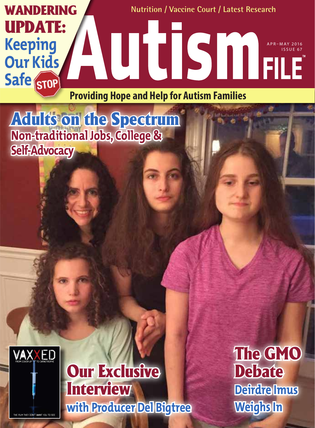

Adults on the Spectrum **Non-traditional Jobs, College & Self-Advocacy**



Our Exclusive **Interview with Producer Del Bigtree** The GMO **Debate Deirdre Imus Weighs In**

THE FILM THEY DON'T WANT YOU TO SEE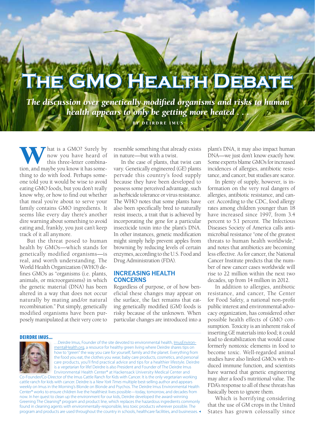# **The GMO Health Debate**

*The discussion over genetically modified organisms and risks to human health appears to only be getting more heated . . .* BY DEIRDRE IMUS

**W** hat is a GMO? Surely by now you have heard of this three-letter combination, and maybe you know it has somenow you have heard of this three-letter combinathing to do with food. Perhaps someone told you it would be wise to avoid eating GMO foods, but you don't really know why, or how to find out whether that meal you're about to serve your family contains GMO ingredients. It seems like every day there's another dire warning about something to avoid eating and, frankly, you just can't keep track of it all anymore.

**46 GREEN HOME – HEALTHY KIDS**

But the threat posed to human health by GMOs—which stands for genetically modified organisms—is real, and worth understanding. The World Health Organization (WHO) defines GMOs as "organisms (i.e. plants, animals, or microorganisms) in which the genetic material (DNA) has been altered in a way that does not occur naturally by mating and/or natural recombination." Put simply, genetically modified organisms have been purposely manipulated at their very core to

resemble something that already exists in nature—but with a twist.

In the case of plants, that twist can vary. Genetically engineered (GE) plants pervade this country's food supply because they have been developed to possess some perceived advantage, such as herbicide tolerance or virus resistance. The WHO notes that some plants have also been specifically bred to naturally resist insects, a trait that is achieved by incorporating the gene for a particular insecticide toxin into the plant's DNA. In other instances, genetic modification might simply help prevent apples from browning by reducing levels of certain enzymes, according to the U.S. Food and Drug Administration (FDA).

## **INCREASING HEALTH CONCERNS**

Regardless of purpose, or of how beneficial these changes may appear on the surface, the fact remains that eating genetically modified (GM) foods is risky because of the unknown. When particular changes are intr[oduced into](http://ImusEnvironmentalHealth.org) a

#### DEIRDRE IMUS...



…Deirdre Imus, Founder of the site devoted to environmental health, ImusEnviron[mentalHealth.org](http://ImusEnvironmentalHealth.org), a resource for healthy green living where Deirdre shares tips on how to "green" the way you care for yourself, family and the planet. Everything from the food you eat, the clothes you wear, baby care products, cosmetics, and personal care products, you'll find practical advice and tips for a healthier lifestyle. Deirdre is a vegetarian for life! Deirdre is also President and Founder of The Deirdre Imus Environmental Health Center® at Hackensack University Medical Center and Co-Founder/Co-Director of the Imus Cattle Ranch for Kids with Cancer. It is the only vegetarian working

cattle ranch for kids with cancer. Deirdre is a *New York Times* multiple best-selling author and appears weekly on Imus in the Morning's Blonde on Blonde and Psychos. The Deirdre Imus Environmental Health Center® works to ensure children live the healthiest lives possible—today, tomorrow, and decades from now. In her quest to clean up the environment for our kids, Deirdre developed the award-winning Greening The Cleaning® program and product line, which replaces the hazardous ingredients commonly found in cleaning agents with environmentally-responsible, less toxic products wherever possible. The program and products are used throughout the country in schools, healthcare facilities, and businesses. plant's DNA, it may also impact human DNA—we just don't know exactly how. Some experts blame GMOs for increased incidences of allergies, antibiotic resistance, and cancer, but studies are scarce.

In plenty of supply, however, is information on the very real dangers of allergies, antibiotic resistance, and cancer. According to the CDC, food allergy rates among children younger than 18 have increased since 1997, from 3.4 percent to 5.1 percent. The Infectious Diseases Society of America calls antimicrobial resistance "one of the greatest threats to human health worldwide," and notes that antibiotics are becoming less effective. As for cancer, the National Cancer Institute predicts that the number of new cancer cases worldwide will rise to 22 million within the next two decades, up from 14 million in 2012.

In addition to allergies, antibiotic resistance, and cancer, The Center for Food Safety, a national non-profit public interest and environmental advocacy organization, has considered other possible health effects of GMO consumption. Toxicity is an inherent risk of inserting GE materials into food; it could lead to destabilization that would cause formerly nontoxic elements in food to become toxic. Well-regarded animal studies have also linked GMOs with reduced immune function, and scientists have warned that genetic engineering may alter a food's nutritional value. The FDA's response to all of these threats has basically been to ignore them.

Which is horrifying considering that the use of GM crops in the United States has grown colossally since